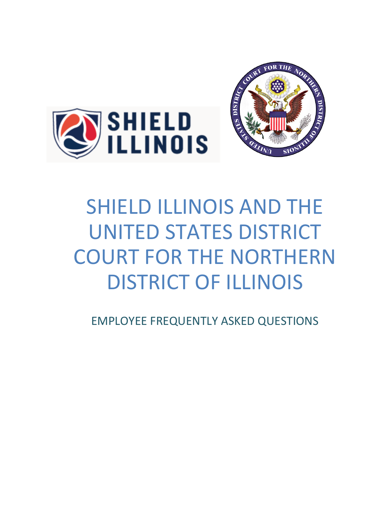



# SHIELD ILLINOIS AND THE UNITED STATES DISTRICT COURT FOR THE NORTHERN DISTRICT OF ILLINOIS

EMPLOYEE FREQUENTLY ASKED QUESTIONS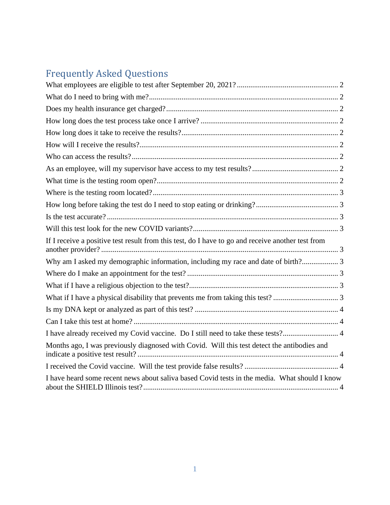# Frequently Asked Questions

| If I receive a positive test result from this test, do I have to go and receive another test from |  |
|---------------------------------------------------------------------------------------------------|--|
| Why am I asked my demographic information, including my race and date of birth? 3                 |  |
|                                                                                                   |  |
|                                                                                                   |  |
|                                                                                                   |  |
|                                                                                                   |  |
|                                                                                                   |  |
| I have already received my Covid vaccine. Do I still need to take these tests? 4                  |  |
| Months ago, I was previously diagnosed with Covid. Will this test detect the antibodies and       |  |
|                                                                                                   |  |
| I have heard some recent news about saliva based Covid tests in the media. What should I know     |  |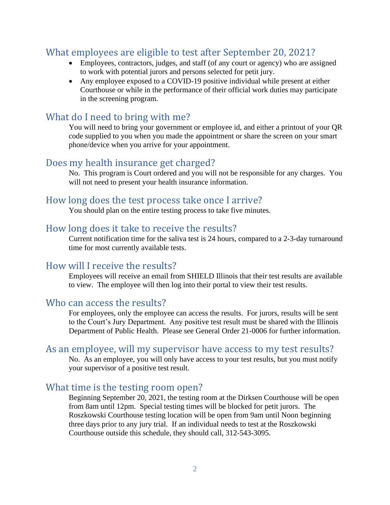# <span id="page-2-0"></span>What employees are eligible to test after September 20, 2021?

- Employees, contractors, judges, and staff (of any court or agency) who are assigned to work with potential jurors and persons selected for petit jury.
- Any employee exposed to a COVID-19 positive individual while present at either Courthouse or while in the performance of their official work duties may participate in the screening program.

#### <span id="page-2-1"></span>What do I need to bring with me?

You will need to bring your government or employee id, and either a printout of your QR code supplied to you when you made the appointment or share the screen on your smart phone/device when you arrive for your appointment.

#### <span id="page-2-2"></span>Does my health insurance get charged?

No. This program is Court ordered and you will not be responsible for any charges. You will not need to present your health insurance information.

#### <span id="page-2-3"></span>How long does the test process take once I arrive?

You should plan on the entire testing process to take five minutes.

#### <span id="page-2-4"></span>How long does it take to receive the results?

Current notification time for the saliva test is 24 hours, compared to a 2-3-day turnaround time for most currently available tests.

#### <span id="page-2-5"></span>How will I receive the results?

Employees will receive an email from SHIELD Illinois that their test results are available to view. The employee will then log into their portal to view their test results.

#### <span id="page-2-6"></span>Who can access the results?

For employees, only the employee can access the results. For jurors, results will be sent to the Court's Jury Department. Any positive test result must be shared with the Illinois Department of Public Health. Please see General Order 21-0006 for further information.

#### <span id="page-2-7"></span>As an employee, will my supervisor have access to my test results?

No. As an employee, you will only have access to your test results, but you must notify your supervisor of a positive test result.

#### <span id="page-2-8"></span>What time is the testing room open?

Beginning September 20, 2021, the testing room at the Dirksen Courthouse will be open from 8am until 12pm. Special testing times will be blocked for petit jurors. The Roszkowski Courthouse testing location will be open from 9am until Noon beginning three days prior to any jury trial. If an individual needs to test at the Roszkowski Courthouse outside this schedule, they should call, 312-543-3095.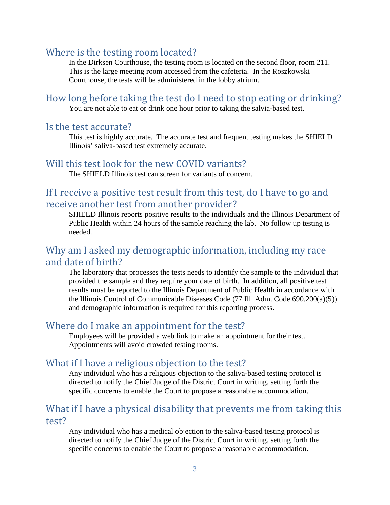#### <span id="page-3-0"></span>Where is the testing room located?

In the Dirksen Courthouse, the testing room is located on the second floor, room 211. This is the large meeting room accessed from the cafeteria. In the Roszkowski Courthouse, the tests will be administered in the lobby atrium.

<span id="page-3-1"></span>How long before taking the test do I need to stop eating or drinking? You are not able to eat or drink one hour prior to taking the salvia-based test.

#### <span id="page-3-2"></span>Is the test accurate?

This test is highly accurate. The accurate test and frequent testing makes the SHIELD Illinois' saliva-based test extremely accurate.

#### <span id="page-3-3"></span>Will this test look for the new COVID variants?

The SHIELD Illinois test can screen for variants of concern.

# <span id="page-3-4"></span>If I receive a positive test result from this test, do I have to go and receive another test from another provider?

SHIELD Illinois reports positive results to the individuals and the Illinois Department of Public Health within 24 hours of the sample reaching the lab. No follow up testing is needed.

# <span id="page-3-5"></span>Why am I asked my demographic information, including my race and date of birth?

The laboratory that processes the tests needs to identify the sample to the individual that provided the sample and they require your date of birth. In addition, all positive test results must be reported to the Illinois Department of Public Health in accordance with the Illinois Control of Communicable Diseases Code (77 Ill. Adm. Code 690.200(a)(5)) and demographic information is required for this reporting process.

#### <span id="page-3-6"></span>Where do I make an appointment for the test?

Employees will be provided a web link to make an appointment for their test. Appointments will avoid crowded testing rooms.

## <span id="page-3-7"></span>What if I have a religious objection to the test?

Any individual who has a religious objection to the saliva-based testing protocol is directed to notify the Chief Judge of the District Court in writing, setting forth the specific concerns to enable the Court to propose a reasonable accommodation.

# <span id="page-3-8"></span>What if I have a physical disability that prevents me from taking this test?

Any individual who has a medical objection to the saliva-based testing protocol is directed to notify the Chief Judge of the District Court in writing, setting forth the specific concerns to enable the Court to propose a reasonable accommodation.